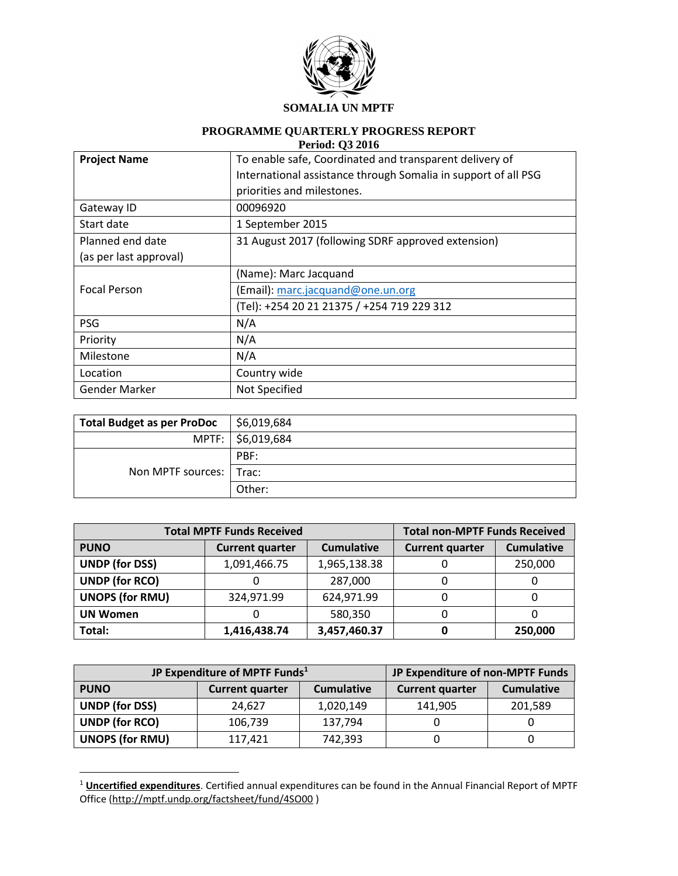

# **PROGRAMME QUARTERLY PROGRESS REPORT**

| <b>Period: Q3 2016</b> |  |
|------------------------|--|
|------------------------|--|

| <b>Project Name</b>    | To enable safe, Coordinated and transparent delivery of        |
|------------------------|----------------------------------------------------------------|
|                        | International assistance through Somalia in support of all PSG |
|                        | priorities and milestones.                                     |
| Gateway ID             | 00096920                                                       |
| Start date             | 1 September 2015                                               |
| Planned end date       | 31 August 2017 (following SDRF approved extension)             |
| (as per last approval) |                                                                |
|                        | (Name): Marc Jacquand                                          |
| <b>Focal Person</b>    | (Email): marc.jacquand@one.un.org                              |
|                        | (Tel): +254 20 21 21375 / +254 719 229 312                     |
| <b>PSG</b>             | N/A                                                            |
| Priority               | N/A                                                            |
| Milestone              | N/A                                                            |
| Location               | Country wide                                                   |
| <b>Gender Marker</b>   | Not Specified                                                  |

| <b>Total Budget as per ProDoc</b> | $\frac{1}{2}$ \$6,019,684 |
|-----------------------------------|---------------------------|
|                                   | MPTF:   \$6,019,684       |
|                                   | PBF:                      |
| Non MPTF sources:   Trac:         |                           |
|                                   | Other:                    |

| <b>Total MPTF Funds Received</b> |                        |                   | <b>Total non-MPTF Funds Received</b> |                   |
|----------------------------------|------------------------|-------------------|--------------------------------------|-------------------|
| <b>PUNO</b>                      | <b>Current quarter</b> | <b>Cumulative</b> | <b>Current quarter</b>               | <b>Cumulative</b> |
| <b>UNDP (for DSS)</b>            | 1,091,466.75           | 1,965,138.38      |                                      | 250,000           |
| <b>UNDP (for RCO)</b>            |                        | 287,000           |                                      |                   |
| <b>UNOPS (for RMU)</b>           | 324,971.99             | 624,971.99        |                                      |                   |
| <b>UN Women</b>                  |                        | 580,350           |                                      |                   |
| Total:                           | 1,416,438.74           | 3,457,460.37      |                                      | 250,000           |

| JP Expenditure of MPTF Funds <sup>1</sup> |                        |                   | JP Expenditure of non-MPTF Funds |                   |
|-------------------------------------------|------------------------|-------------------|----------------------------------|-------------------|
| <b>PUNO</b>                               | <b>Current quarter</b> | <b>Cumulative</b> | <b>Current quarter</b>           | <b>Cumulative</b> |
| <b>UNDP (for DSS)</b>                     | 24.627                 | 1,020,149         | 141,905                          | 201,589           |
| <b>UNDP (for RCO)</b>                     | 106,739                | 137,794           |                                  |                   |
| <b>UNOPS (for RMU)</b>                    | 117,421                | 742,393           |                                  |                   |

<sup>1</sup> **Uncertified expenditures**. Certified annual expenditures can be found in the Annual Financial Report of MPTF Office [\(http://mptf.undp.org/factsheet/fund/4SO00](http://mptf.undp.org/factsheet/fund/4SO00) )

 $\overline{a}$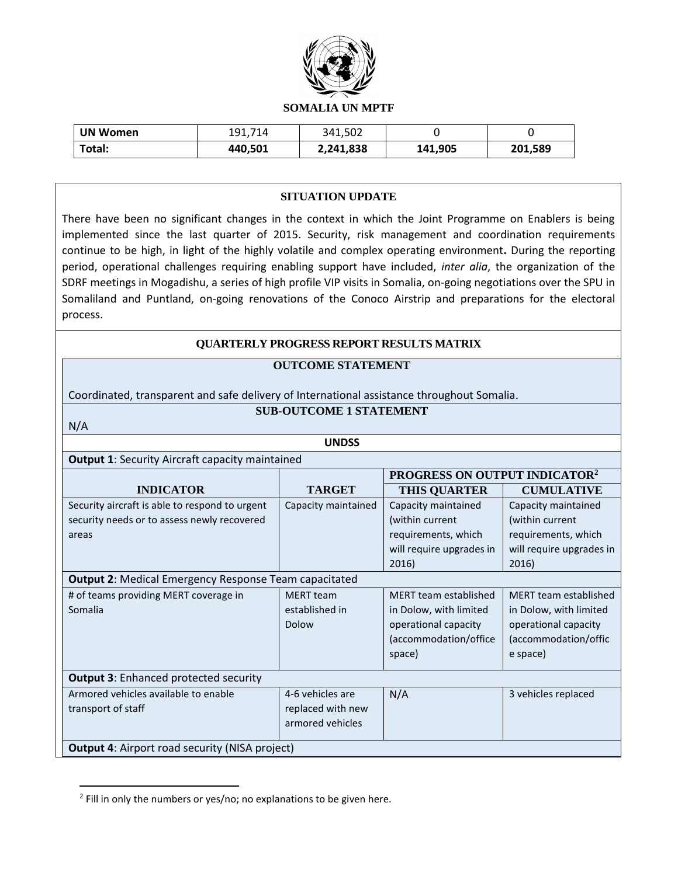

| <b>UN Women</b> | 191,714 | 341,502   |         |         |
|-----------------|---------|-----------|---------|---------|
| Total:          | 440,501 | 2,241,838 | 141,905 | 201,589 |

#### **SITUATION UPDATE**

There have been no significant changes in the context in which the Joint Programme on Enablers is being implemented since the last quarter of 2015. Security, risk management and coordination requirements continue to be high, in light of the highly volatile and complex operating environment**.** During the reporting period, operational challenges requiring enabling support have included, *inter alia*, the organization of the SDRF meetings in Mogadishu, a series of high profile VIP visits in Somalia, on-going negotiations over the SPU in Somaliland and Puntland, on-going renovations of the Conoco Airstrip and preparations for the electoral process.

#### **QUARTERLY PROGRESS REPORT RESULTS MATRIX**

#### **OUTCOME STATEMENT**

Coordinated, transparent and safe delivery of International assistance throughout Somalia.

### **SUB-OUTCOME 1 STATEMENT**

N/A

 $\overline{\phantom{a}}$ 

**UNDSS**

#### **Output 1**: Security Aircraft capacity maintained

|                                                       |                     | PROGRESS ON OUTPUT INDICATOR <sup>2</sup> |                              |  |
|-------------------------------------------------------|---------------------|-------------------------------------------|------------------------------|--|
| <b>INDICATOR</b>                                      | <b>TARGET</b>       | <b>THIS QUARTER</b>                       | <b>CUMULATIVE</b>            |  |
| Security aircraft is able to respond to urgent        | Capacity maintained | Capacity maintained                       | Capacity maintained          |  |
| security needs or to assess newly recovered           |                     | (within current                           | (within current              |  |
| areas                                                 |                     | requirements, which                       | requirements, which          |  |
|                                                       |                     | will require upgrades in                  | will require upgrades in     |  |
|                                                       |                     | 2016)                                     | 2016)                        |  |
| Output 2: Medical Emergency Response Team capacitated |                     |                                           |                              |  |
| # of teams providing MERT coverage in                 | <b>MERT</b> team    | <b>MERT</b> team established              | <b>MERT</b> team established |  |
| Somalia                                               | established in      | in Dolow, with limited                    | in Dolow, with limited       |  |
|                                                       | Dolow               | operational capacity                      | operational capacity         |  |
|                                                       |                     | (accommodation/office                     | (accommodation/offic         |  |
|                                                       |                     | space)                                    | e space)                     |  |
| <b>Output 3: Enhanced protected security</b>          |                     |                                           |                              |  |
| Armored vehicles available to enable                  | 4-6 vehicles are    | N/A                                       | 3 vehicles replaced          |  |
| transport of staff                                    | replaced with new   |                                           |                              |  |
|                                                       | armored vehicles    |                                           |                              |  |
| <b>Output 4: Airport road security (NISA project)</b> |                     |                                           |                              |  |

<sup>&</sup>lt;sup>2</sup> Fill in only the numbers or yes/no; no explanations to be given here.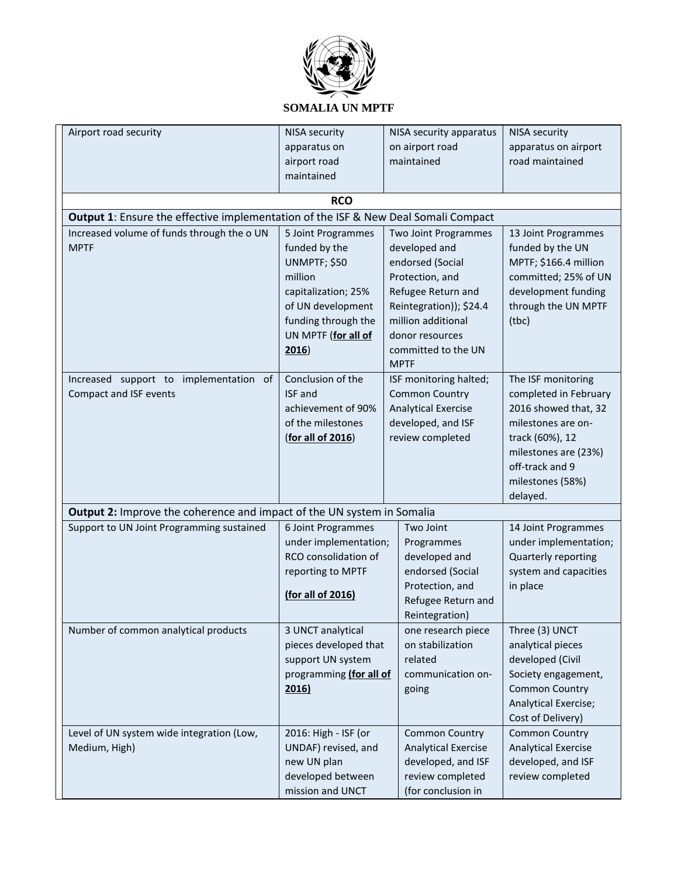

| Airport road security                                                              | <b>NISA security</b><br>apparatus on<br>airport road                                                                                                              | NISA security apparatus<br>on airport road<br>maintained                                                                                                                                                     | <b>NISA security</b><br>apparatus on airport<br>road maintained                                                                                                                         |
|------------------------------------------------------------------------------------|-------------------------------------------------------------------------------------------------------------------------------------------------------------------|--------------------------------------------------------------------------------------------------------------------------------------------------------------------------------------------------------------|-----------------------------------------------------------------------------------------------------------------------------------------------------------------------------------------|
|                                                                                    | maintained                                                                                                                                                        |                                                                                                                                                                                                              |                                                                                                                                                                                         |
|                                                                                    | <b>RCO</b>                                                                                                                                                        |                                                                                                                                                                                                              |                                                                                                                                                                                         |
| Output 1: Ensure the effective implementation of the ISF & New Deal Somali Compact |                                                                                                                                                                   |                                                                                                                                                                                                              |                                                                                                                                                                                         |
| Increased volume of funds through the o UN<br><b>MPTF</b>                          | 5 Joint Programmes<br>funded by the<br>UNMPTF; \$50<br>million<br>capitalization; 25%<br>of UN development<br>funding through the<br>UN MPTF (for all of<br>2016) | Two Joint Programmes<br>developed and<br>endorsed (Social<br>Protection, and<br>Refugee Return and<br>Reintegration)); \$24.4<br>million additional<br>donor resources<br>committed to the UN<br><b>MPTF</b> | 13 Joint Programmes<br>funded by the UN<br>MPTF; \$166.4 million<br>committed; 25% of UN<br>development funding<br>through the UN MPTF<br>(tbc)                                         |
| Increased support to implementation of<br>Compact and ISF events                   | Conclusion of the<br>ISF and<br>achievement of 90%<br>of the milestones<br>(for all of 2016)                                                                      | ISF monitoring halted;<br><b>Common Country</b><br><b>Analytical Exercise</b><br>developed, and ISF<br>review completed                                                                                      | The ISF monitoring<br>completed in February<br>2016 showed that, 32<br>milestones are on-<br>track (60%), 12<br>milestones are (23%)<br>off-track and 9<br>milestones (58%)<br>delayed. |
| Output 2: Improve the coherence and impact of the UN system in Somalia             |                                                                                                                                                                   |                                                                                                                                                                                                              |                                                                                                                                                                                         |
| Support to UN Joint Programming sustained                                          | 6 Joint Programmes<br>under implementation;<br>RCO consolidation of<br>reporting to MPTF<br>(for all of 2016)                                                     | Two Joint<br>Programmes<br>developed and<br>endorsed (Social<br>Protection, and<br>Refugee Return and<br>Reintegration)                                                                                      | 14 Joint Programmes<br>under implementation;<br>Quarterly reporting<br>system and capacities<br>in place                                                                                |
| Number of common analytical products                                               | 3 UNCT analytical<br>pieces developed that<br>support UN system<br>programming (for all of<br>2016)                                                               | one research piece<br>on stabilization<br>related<br>communication on-<br>going                                                                                                                              | Three (3) UNCT<br>analytical pieces<br>developed (Civil<br>Society engagement,<br><b>Common Country</b><br>Analytical Exercise;<br>Cost of Delivery)                                    |
| Level of UN system wide integration (Low,<br>Medium, High)                         | 2016: High - ISF (or<br>UNDAF) revised, and<br>new UN plan<br>developed between<br>mission and UNCT                                                               | <b>Common Country</b><br><b>Analytical Exercise</b><br>developed, and ISF<br>review completed<br>(for conclusion in                                                                                          | <b>Common Country</b><br><b>Analytical Exercise</b><br>developed, and ISF<br>review completed                                                                                           |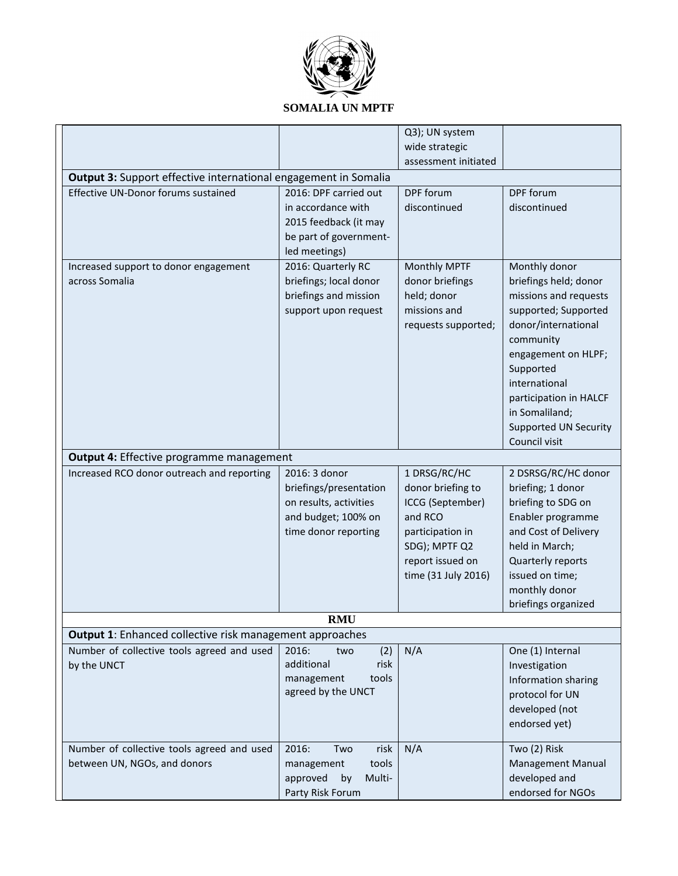

|                                                                        |                          | Q3); UN system       |                              |
|------------------------------------------------------------------------|--------------------------|----------------------|------------------------------|
|                                                                        |                          | wide strategic       |                              |
|                                                                        |                          | assessment initiated |                              |
| <b>Output 3:</b> Support effective international engagement in Somalia |                          |                      |                              |
| Effective UN-Donor forums sustained                                    | 2016: DPF carried out    | DPF forum            | DPF forum                    |
|                                                                        | in accordance with       | discontinued         | discontinued                 |
|                                                                        | 2015 feedback (it may    |                      |                              |
|                                                                        | be part of government-   |                      |                              |
|                                                                        | led meetings)            |                      |                              |
| Increased support to donor engagement                                  | 2016: Quarterly RC       | Monthly MPTF         | Monthly donor                |
| across Somalia                                                         | briefings; local donor   | donor briefings      | briefings held; donor        |
|                                                                        | briefings and mission    | held; donor          | missions and requests        |
|                                                                        | support upon request     | missions and         | supported; Supported         |
|                                                                        |                          | requests supported;  | donor/international          |
|                                                                        |                          |                      | community                    |
|                                                                        |                          |                      | engagement on HLPF;          |
|                                                                        |                          |                      | Supported                    |
|                                                                        |                          |                      | international                |
|                                                                        |                          |                      | participation in HALCF       |
|                                                                        |                          |                      | in Somaliland;               |
|                                                                        |                          |                      | <b>Supported UN Security</b> |
|                                                                        |                          |                      | Council visit                |
| <b>Output 4: Effective programme management</b>                        |                          |                      |                              |
| Increased RCO donor outreach and reporting                             | 2016: 3 donor            | 1 DRSG/RC/HC         | 2 DSRSG/RC/HC donor          |
|                                                                        | briefings/presentation   | donor briefing to    | briefing; 1 donor            |
|                                                                        | on results, activities   | ICCG (September)     | briefing to SDG on           |
|                                                                        | and budget; 100% on      | and RCO              | Enabler programme            |
|                                                                        | time donor reporting     | participation in     | and Cost of Delivery         |
|                                                                        |                          | SDG); MPTF Q2        | held in March;               |
|                                                                        |                          | report issued on     | Quarterly reports            |
|                                                                        |                          | time (31 July 2016)  | issued on time;              |
|                                                                        |                          |                      | monthly donor                |
|                                                                        |                          |                      | briefings organized          |
|                                                                        | <b>RMU</b>               |                      |                              |
| <b>Output 1:</b> Enhanced collective risk management approaches        |                          |                      |                              |
| Number of collective tools agreed and used                             | 2016:<br>(2)<br>two      | N/A                  | One (1) Internal             |
| by the UNCT                                                            | additional<br>risk       |                      | Investigation                |
|                                                                        | management<br>tools      |                      | Information sharing          |
|                                                                        | agreed by the UNCT       |                      | protocol for UN              |
|                                                                        |                          |                      | developed (not               |
|                                                                        |                          |                      | endorsed yet)                |
|                                                                        |                          |                      |                              |
| Number of collective tools agreed and used                             | 2016:<br>risk<br>Two     | N/A                  | Two (2) Risk                 |
| between UN, NGOs, and donors                                           | tools<br>management      |                      | Management Manual            |
|                                                                        | approved<br>Multi-<br>by |                      | developed and                |
|                                                                        | Party Risk Forum         |                      | endorsed for NGOs            |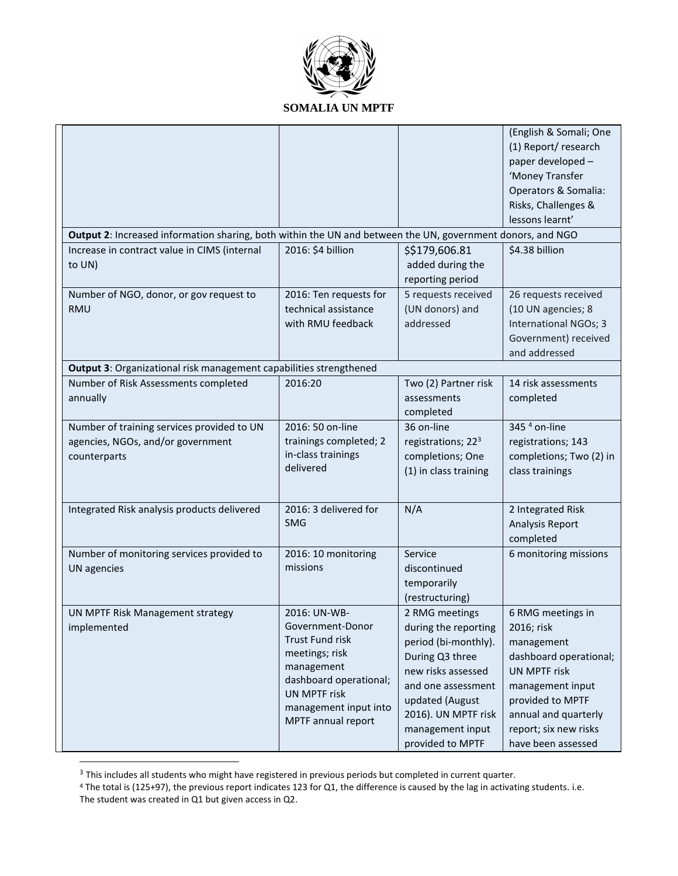

|                                                                                                            |                                     |                                | (English & Somali; One  |
|------------------------------------------------------------------------------------------------------------|-------------------------------------|--------------------------------|-------------------------|
|                                                                                                            |                                     |                                | (1) Report/research     |
|                                                                                                            |                                     |                                | paper developed -       |
|                                                                                                            |                                     |                                | 'Money Transfer         |
|                                                                                                            |                                     |                                | Operators & Somalia:    |
|                                                                                                            |                                     |                                | Risks, Challenges &     |
|                                                                                                            |                                     |                                | lessons learnt'         |
| Output 2: Increased information sharing, both within the UN and between the UN, government donors, and NGO |                                     |                                |                         |
| Increase in contract value in CIMS (internal                                                               | 2016: \$4 billion                   | \$\$179,606.81                 | \$4.38 billion          |
| to UN)                                                                                                     |                                     | added during the               |                         |
|                                                                                                            |                                     | reporting period               |                         |
| Number of NGO, donor, or gov request to                                                                    | 2016: Ten requests for              | 5 requests received            | 26 requests received    |
| <b>RMU</b>                                                                                                 | technical assistance                | (UN donors) and                | (10 UN agencies; 8      |
|                                                                                                            | with RMU feedback                   | addressed                      | International NGOs; 3   |
|                                                                                                            |                                     |                                | Government) received    |
|                                                                                                            |                                     |                                | and addressed           |
| Output 3: Organizational risk management capabilities strengthened                                         |                                     |                                |                         |
| Number of Risk Assessments completed                                                                       | 2016:20                             | Two (2) Partner risk           | 14 risk assessments     |
| annually                                                                                                   |                                     | assessments                    | completed               |
|                                                                                                            |                                     | completed                      |                         |
| Number of training services provided to UN                                                                 | 2016: 50 on-line                    | 36 on-line                     | 345 $4$ on-line         |
| agencies, NGOs, and/or government                                                                          | trainings completed; 2              | registrations; 22 <sup>3</sup> | registrations; 143      |
| counterparts                                                                                               | in-class trainings                  | completions; One               | completions; Two (2) in |
|                                                                                                            | delivered                           | (1) in class training          | class trainings         |
|                                                                                                            |                                     |                                |                         |
| Integrated Risk analysis products delivered                                                                | 2016: 3 delivered for               | N/A                            | 2 Integrated Risk       |
|                                                                                                            | <b>SMG</b>                          |                                | Analysis Report         |
|                                                                                                            |                                     |                                | completed               |
|                                                                                                            |                                     |                                |                         |
| Number of monitoring services provided to                                                                  | 2016: 10 monitoring<br>missions     | Service                        | 6 monitoring missions   |
| <b>UN</b> agencies                                                                                         |                                     | discontinued                   |                         |
|                                                                                                            |                                     | temporarily                    |                         |
|                                                                                                            |                                     | (restructuring)                |                         |
| UN MPTF Risk Management strategy                                                                           | 2016: UN-WB-                        | 2 RMG meetings                 | 6 RMG meetings in       |
| implemented                                                                                                | Government-Donor<br>Trust Fund risk | during the reporting           | 2016; risk              |
|                                                                                                            | meetings; risk                      | period (bi-monthly).           | management              |
|                                                                                                            | management                          | During Q3 three                | dashboard operational;  |
|                                                                                                            | dashboard operational;              | new risks assessed             | <b>UN MPTF risk</b>     |
|                                                                                                            | UN MPTF risk                        | and one assessment             | management input        |
|                                                                                                            | management input into               | updated (August                | provided to MPTF        |
|                                                                                                            | MPTF annual report                  | 2016). UN MPTF risk            | annual and quarterly    |
|                                                                                                            |                                     | management input               | report; six new risks   |
|                                                                                                            |                                     | provided to MPTF               | have been assessed      |

 $3$  This includes all students who might have registered in previous periods but completed in current quarter.

 $\overline{a}$ 

<sup>4</sup> The total is (125+97), the previous report indicates 123 for Q1, the difference is caused by the lag in activating students. i.e. The student was created in Q1 but given access in Q2.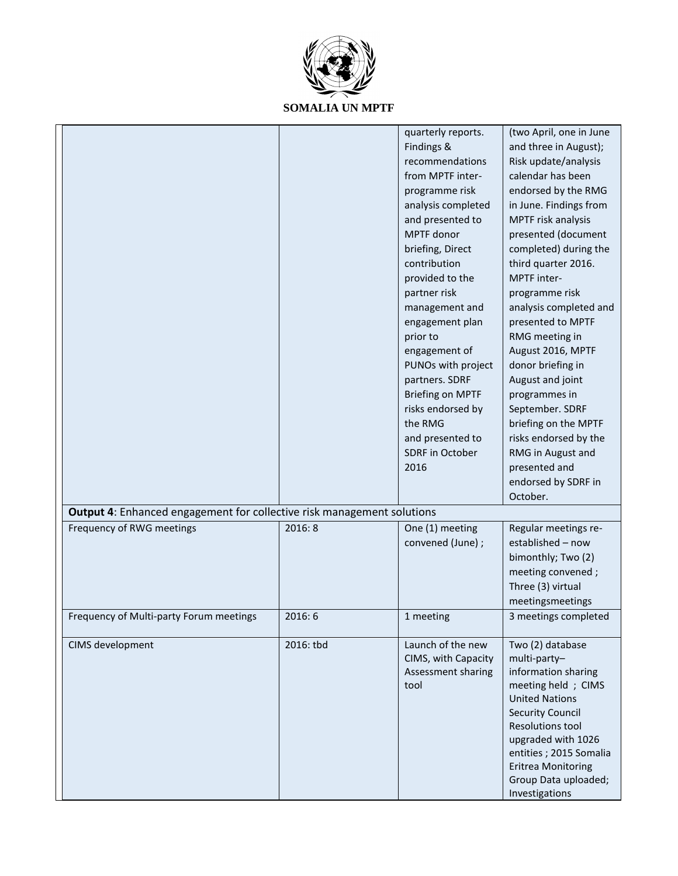

|                                                                        |           | quarterly reports.      | (two April, one in June   |
|------------------------------------------------------------------------|-----------|-------------------------|---------------------------|
|                                                                        |           | Findings &              | and three in August);     |
|                                                                        |           | recommendations         | Risk update/analysis      |
|                                                                        |           | from MPTF inter-        | calendar has been         |
|                                                                        |           | programme risk          | endorsed by the RMG       |
|                                                                        |           | analysis completed      | in June. Findings from    |
|                                                                        |           | and presented to        | MPTF risk analysis        |
|                                                                        |           | MPTF donor              | presented (document       |
|                                                                        |           | briefing, Direct        | completed) during the     |
|                                                                        |           | contribution            | third quarter 2016.       |
|                                                                        |           | provided to the         | MPTF inter-               |
|                                                                        |           | partner risk            | programme risk            |
|                                                                        |           | management and          | analysis completed and    |
|                                                                        |           | engagement plan         | presented to MPTF         |
|                                                                        |           | prior to                | RMG meeting in            |
|                                                                        |           | engagement of           | August 2016, MPTF         |
|                                                                        |           | PUNOs with project      | donor briefing in         |
|                                                                        |           | partners. SDRF          | August and joint          |
|                                                                        |           | <b>Briefing on MPTF</b> | programmes in             |
|                                                                        |           | risks endorsed by       | September. SDRF           |
|                                                                        |           | the RMG                 | briefing on the MPTF      |
|                                                                        |           | and presented to        | risks endorsed by the     |
|                                                                        |           |                         |                           |
|                                                                        |           | SDRF in October         | RMG in August and         |
|                                                                        |           | 2016                    | presented and             |
|                                                                        |           |                         | endorsed by SDRF in       |
|                                                                        |           |                         | October.                  |
| Output 4: Enhanced engagement for collective risk management solutions |           |                         |                           |
| Frequency of RWG meetings                                              | 2016:8    | One (1) meeting         | Regular meetings re-      |
|                                                                        |           | convened (June) ;       | established - now         |
|                                                                        |           |                         | bimonthly; Two (2)        |
|                                                                        |           |                         | meeting convened;         |
|                                                                        |           |                         | Three (3) virtual         |
|                                                                        |           |                         | meetingsmeetings          |
| Frequency of Multi-party Forum meetings                                | 2016:6    | 1 meeting               | 3 meetings completed      |
|                                                                        |           |                         |                           |
| CIMS development                                                       | 2016: tbd | Launch of the new       | Two (2) database          |
|                                                                        |           | CIMS, with Capacity     | multi-party-              |
|                                                                        |           | Assessment sharing      | information sharing       |
|                                                                        |           | tool                    | meeting held ; CIMS       |
|                                                                        |           |                         | <b>United Nations</b>     |
|                                                                        |           |                         | <b>Security Council</b>   |
|                                                                        |           |                         | <b>Resolutions tool</b>   |
|                                                                        |           |                         | upgraded with 1026        |
|                                                                        |           |                         | entities; 2015 Somalia    |
|                                                                        |           |                         | <b>Eritrea Monitoring</b> |
|                                                                        |           |                         | Group Data uploaded;      |
|                                                                        |           |                         | Investigations            |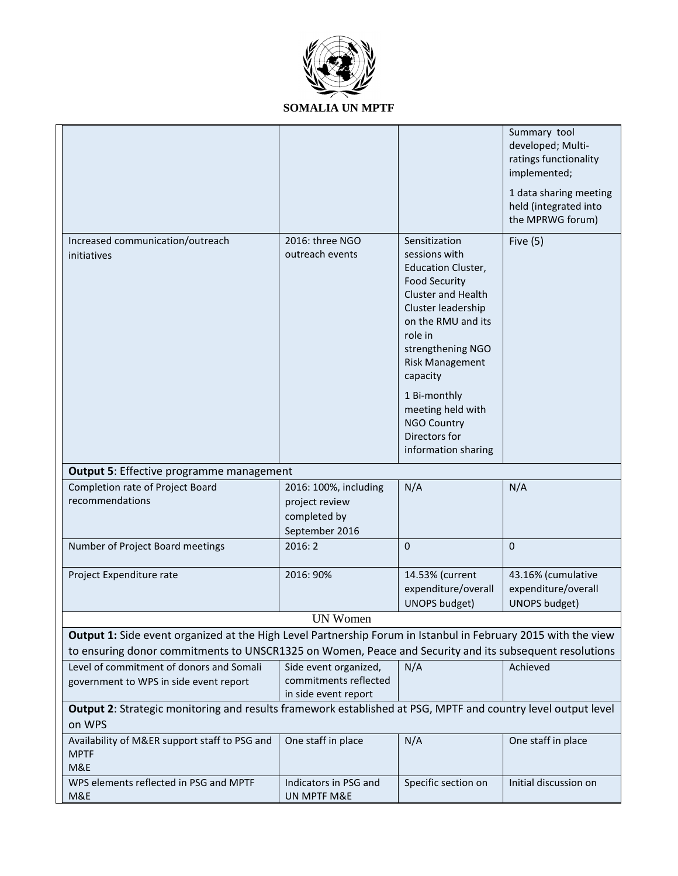

|                                                                                                                                                                                                                         |                                                                           |                                                                                                                                                                                                                                                                                                                                       | Summary tool<br>developed; Multi-<br>ratings functionality<br>implemented;<br>1 data sharing meeting<br>held (integrated into<br>the MPRWG forum) |  |
|-------------------------------------------------------------------------------------------------------------------------------------------------------------------------------------------------------------------------|---------------------------------------------------------------------------|---------------------------------------------------------------------------------------------------------------------------------------------------------------------------------------------------------------------------------------------------------------------------------------------------------------------------------------|---------------------------------------------------------------------------------------------------------------------------------------------------|--|
| Increased communication/outreach<br>initiatives                                                                                                                                                                         | 2016: three NGO<br>outreach events                                        | Sensitization<br>sessions with<br><b>Education Cluster,</b><br><b>Food Security</b><br><b>Cluster and Health</b><br>Cluster leadership<br>on the RMU and its<br>role in<br>strengthening NGO<br><b>Risk Management</b><br>capacity<br>1 Bi-monthly<br>meeting held with<br><b>NGO Country</b><br>Directors for<br>information sharing | Five $(5)$                                                                                                                                        |  |
| <b>Output 5: Effective programme management</b>                                                                                                                                                                         |                                                                           |                                                                                                                                                                                                                                                                                                                                       |                                                                                                                                                   |  |
| Completion rate of Project Board<br>recommendations                                                                                                                                                                     | 2016: 100%, including<br>project review<br>completed by<br>September 2016 | N/A                                                                                                                                                                                                                                                                                                                                   | N/A                                                                                                                                               |  |
| Number of Project Board meetings                                                                                                                                                                                        | 2016:2                                                                    | $\mathbf 0$                                                                                                                                                                                                                                                                                                                           | $\mathbf 0$                                                                                                                                       |  |
| Project Expenditure rate                                                                                                                                                                                                | 2016: 90%                                                                 | 14.53% (current<br>expenditure/overall<br><b>UNOPS budget)</b>                                                                                                                                                                                                                                                                        | 43.16% (cumulative<br>expenditure/overall<br><b>UNOPS budget)</b>                                                                                 |  |
|                                                                                                                                                                                                                         | <b>UN Women</b>                                                           |                                                                                                                                                                                                                                                                                                                                       |                                                                                                                                                   |  |
| Output 1: Side event organized at the High Level Partnership Forum in Istanbul in February 2015 with the view<br>to ensuring donor commitments to UNSCR1325 on Women, Peace and Security and its subsequent resolutions |                                                                           |                                                                                                                                                                                                                                                                                                                                       |                                                                                                                                                   |  |
| Level of commitment of donors and Somali<br>government to WPS in side event report                                                                                                                                      | Side event organized,<br>commitments reflected<br>in side event report    | N/A                                                                                                                                                                                                                                                                                                                                   | Achieved                                                                                                                                          |  |
| Output 2: Strategic monitoring and results framework established at PSG, MPTF and country level output level<br>on WPS                                                                                                  |                                                                           |                                                                                                                                                                                                                                                                                                                                       |                                                                                                                                                   |  |
| Availability of M&ER support staff to PSG and<br><b>MPTF</b><br>M&E                                                                                                                                                     | One staff in place                                                        | N/A                                                                                                                                                                                                                                                                                                                                   | One staff in place                                                                                                                                |  |
| WPS elements reflected in PSG and MPTF<br>M&E                                                                                                                                                                           | Indicators in PSG and<br>UN MPTF M&E                                      | Specific section on                                                                                                                                                                                                                                                                                                                   | Initial discussion on                                                                                                                             |  |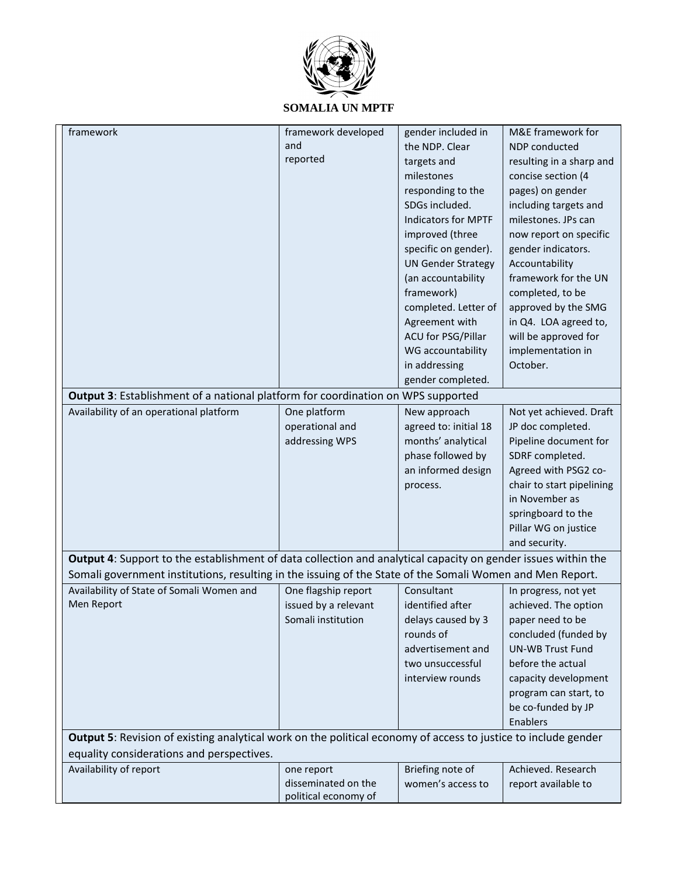

| framework                                                                                                      | framework developed                        | gender included in                    | M&E framework for                              |  |  |  |
|----------------------------------------------------------------------------------------------------------------|--------------------------------------------|---------------------------------------|------------------------------------------------|--|--|--|
|                                                                                                                | and                                        | the NDP. Clear                        | NDP conducted                                  |  |  |  |
|                                                                                                                | reported                                   | targets and                           |                                                |  |  |  |
|                                                                                                                |                                            | milestones                            | resulting in a sharp and<br>concise section (4 |  |  |  |
|                                                                                                                |                                            | responding to the                     | pages) on gender                               |  |  |  |
|                                                                                                                |                                            | SDGs included.                        |                                                |  |  |  |
|                                                                                                                |                                            | <b>Indicators for MPTF</b>            | including targets and<br>milestones. JPs can   |  |  |  |
|                                                                                                                |                                            | improved (three                       |                                                |  |  |  |
|                                                                                                                |                                            | specific on gender).                  | now report on specific                         |  |  |  |
|                                                                                                                |                                            | <b>UN Gender Strategy</b>             | gender indicators.<br>Accountability           |  |  |  |
|                                                                                                                |                                            | (an accountability                    | framework for the UN                           |  |  |  |
|                                                                                                                |                                            | framework)                            | completed, to be                               |  |  |  |
|                                                                                                                |                                            | completed. Letter of                  | approved by the SMG                            |  |  |  |
|                                                                                                                |                                            | Agreement with                        | in Q4. LOA agreed to,                          |  |  |  |
|                                                                                                                |                                            | ACU for PSG/Pillar                    | will be approved for                           |  |  |  |
|                                                                                                                |                                            | WG accountability                     | implementation in                              |  |  |  |
|                                                                                                                |                                            | in addressing                         | October.                                       |  |  |  |
|                                                                                                                |                                            | gender completed.                     |                                                |  |  |  |
| <b>Output 3: Establishment of a national platform for coordination on WPS supported</b>                        |                                            |                                       |                                                |  |  |  |
| Availability of an operational platform                                                                        | One platform                               | New approach                          | Not yet achieved. Draft                        |  |  |  |
|                                                                                                                | operational and                            | agreed to: initial 18                 | JP doc completed.                              |  |  |  |
|                                                                                                                | addressing WPS                             | months' analytical                    | Pipeline document for                          |  |  |  |
|                                                                                                                |                                            | phase followed by                     |                                                |  |  |  |
|                                                                                                                |                                            | an informed design                    | SDRF completed.<br>Agreed with PSG2 co-        |  |  |  |
|                                                                                                                |                                            |                                       | chair to start pipelining                      |  |  |  |
|                                                                                                                |                                            | process.                              | in November as                                 |  |  |  |
|                                                                                                                |                                            |                                       |                                                |  |  |  |
|                                                                                                                |                                            |                                       | springboard to the<br>Pillar WG on justice     |  |  |  |
|                                                                                                                |                                            |                                       | and security.                                  |  |  |  |
| Output 4: Support to the establishment of data collection and analytical capacity on gender issues within the  |                                            |                                       |                                                |  |  |  |
| Somali government institutions, resulting in the issuing of the State of the Somali Women and Men Report.      |                                            |                                       |                                                |  |  |  |
|                                                                                                                |                                            |                                       |                                                |  |  |  |
| Availability of State of Somali Women and<br>Men Report                                                        | One flagship report                        | Consultant<br>identified after        | In progress, not yet                           |  |  |  |
|                                                                                                                | issued by a relevant<br>Somali institution |                                       | achieved. The option                           |  |  |  |
|                                                                                                                |                                            | delays caused by 3<br>rounds of       | paper need to be<br>concluded (funded by       |  |  |  |
|                                                                                                                |                                            | advertisement and                     | <b>UN-WB Trust Fund</b>                        |  |  |  |
|                                                                                                                |                                            | two unsuccessful                      | before the actual                              |  |  |  |
|                                                                                                                |                                            | interview rounds                      |                                                |  |  |  |
|                                                                                                                |                                            |                                       | capacity development                           |  |  |  |
|                                                                                                                |                                            |                                       | program can start, to                          |  |  |  |
|                                                                                                                |                                            |                                       | be co-funded by JP                             |  |  |  |
| Enablers                                                                                                       |                                            |                                       |                                                |  |  |  |
| Output 5: Revision of existing analytical work on the political economy of access to justice to include gender |                                            |                                       |                                                |  |  |  |
| equality considerations and perspectives.                                                                      |                                            |                                       |                                                |  |  |  |
| Availability of report                                                                                         | one report<br>disseminated on the          | Briefing note of<br>women's access to | Achieved. Research                             |  |  |  |
|                                                                                                                | political economy of                       |                                       | report available to                            |  |  |  |
|                                                                                                                |                                            |                                       |                                                |  |  |  |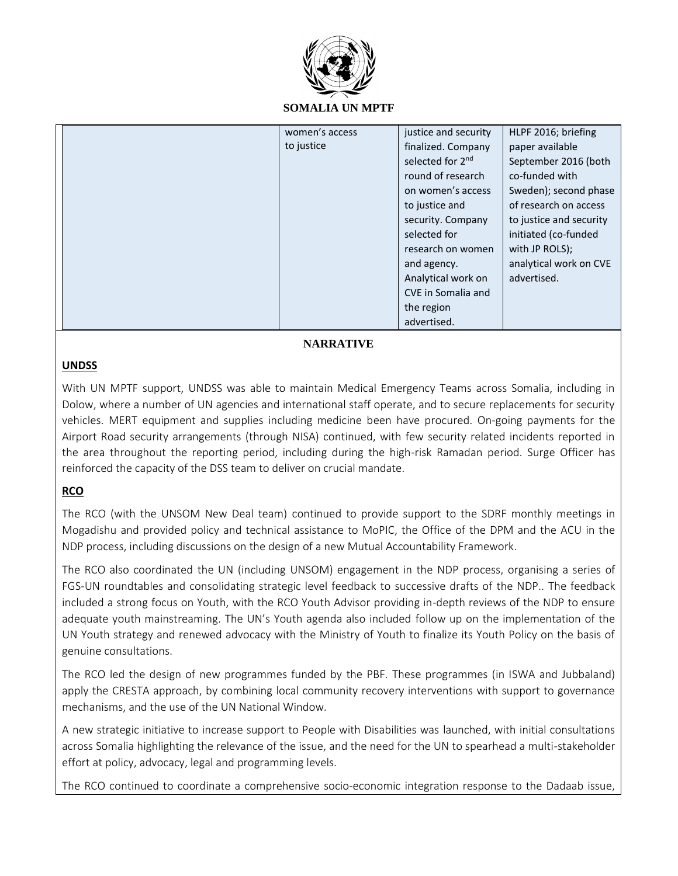

|  | women's access | justice and security         | HLPF 2016; briefing     |
|--|----------------|------------------------------|-------------------------|
|  | to justice     | finalized. Company           | paper available         |
|  |                | selected for 2 <sup>nd</sup> | September 2016 (both    |
|  |                | round of research            | co-funded with          |
|  |                | on women's access            | Sweden); second phase   |
|  |                | to justice and               | of research on access   |
|  |                | security. Company            | to justice and security |
|  |                | selected for                 | initiated (co-funded    |
|  |                | research on women            | with JP ROLS);          |
|  |                | and agency.                  | analytical work on CVE  |
|  |                | Analytical work on           | advertised.             |
|  |                | CVE in Somalia and           |                         |
|  |                | the region                   |                         |
|  |                | advertised.                  |                         |

### **NARRATIVE**

## **UNDSS**

With UN MPTF support, UNDSS was able to maintain Medical Emergency Teams across Somalia, including in Dolow, where a number of UN agencies and international staff operate, and to secure replacements for security vehicles. MERT equipment and supplies including medicine been have procured. On-going payments for the Airport Road security arrangements (through NISA) continued, with few security related incidents reported in the area throughout the reporting period, including during the high-risk Ramadan period. Surge Officer has reinforced the capacity of the DSS team to deliver on crucial mandate.

## **RCO**

The RCO (with the UNSOM New Deal team) continued to provide support to the SDRF monthly meetings in Mogadishu and provided policy and technical assistance to MoPIC, the Office of the DPM and the ACU in the NDP process, including discussions on the design of a new Mutual Accountability Framework.

The RCO also coordinated the UN (including UNSOM) engagement in the NDP process, organising a series of FGS-UN roundtables and consolidating strategic level feedback to successive drafts of the NDP.. The feedback included a strong focus on Youth, with the RCO Youth Advisor providing in-depth reviews of the NDP to ensure adequate youth mainstreaming. The UN's Youth agenda also included follow up on the implementation of the UN Youth strategy and renewed advocacy with the Ministry of Youth to finalize its Youth Policy on the basis of genuine consultations.

The RCO led the design of new programmes funded by the PBF. These programmes (in ISWA and Jubbaland) apply the CRESTA approach, by combining local community recovery interventions with support to governance mechanisms, and the use of the UN National Window.

A new strategic initiative to increase support to People with Disabilities was launched, with initial consultations across Somalia highlighting the relevance of the issue, and the need for the UN to spearhead a multi-stakeholder effort at policy, advocacy, legal and programming levels.

The RCO continued to coordinate a comprehensive socio-economic integration response to the Dadaab issue,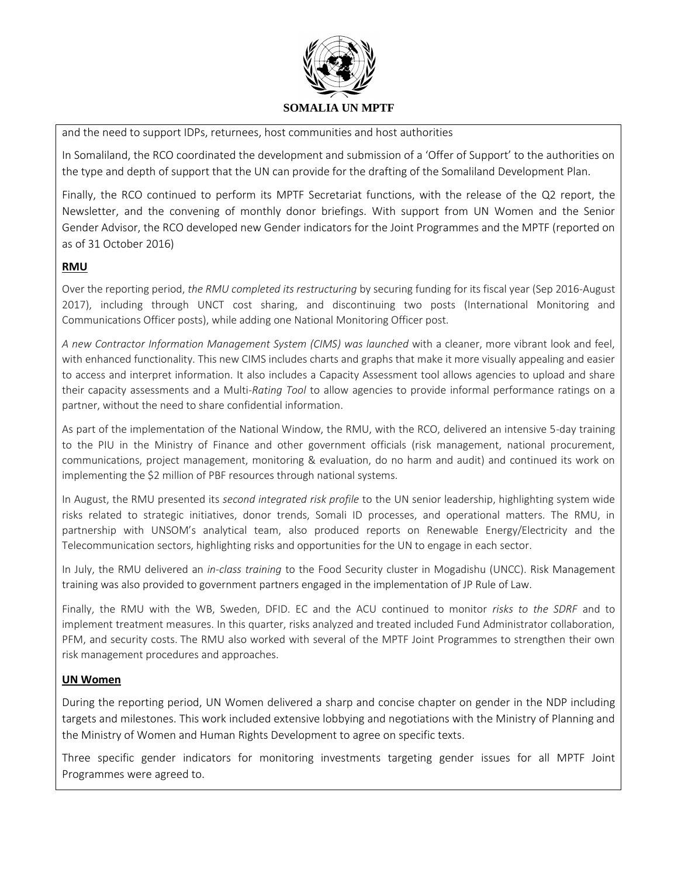

and the need to support IDPs, returnees, host communities and host authorities

In Somaliland, the RCO coordinated the development and submission of a 'Offer of Support' to the authorities on the type and depth of support that the UN can provide for the drafting of the Somaliland Development Plan.

Finally, the RCO continued to perform its MPTF Secretariat functions, with the release of the Q2 report, the Newsletter, and the convening of monthly donor briefings. With support from UN Women and the Senior Gender Advisor, the RCO developed new Gender indicators for the Joint Programmes and the MPTF (reported on as of 31 October 2016)

## **RMU**

Over the reporting period, *the RMU completed its restructuring* by securing funding for its fiscal year (Sep 2016-August 2017), including through UNCT cost sharing, and discontinuing two posts (International Monitoring and Communications Officer posts), while adding one National Monitoring Officer post.

*A new Contractor Information Management System (CIMS) was launched* with a cleaner, more vibrant look and feel, with enhanced functionality. This new CIMS includes charts and graphs that make it more visually appealing and easier to access and interpret information. It also includes a Capacity Assessment tool allows agencies to upload and share their capacity assessments and a Multi*-Rating Tool* to allow agencies to provide informal performance ratings on a partner, without the need to share confidential information.

As part of the implementation of the National Window, the RMU, with the RCO, delivered an intensive 5-day training to the PIU in the Ministry of Finance and other government officials (risk management, national procurement, communications, project management, monitoring & evaluation, do no harm and audit) and continued its work on implementing the \$2 million of PBF resources through national systems.

In August, the RMU presented its *second integrated risk profile* to the UN senior leadership, highlighting system wide risks related to strategic initiatives, donor trends, Somali ID processes, and operational matters. The RMU, in partnership with UNSOM's analytical team, also produced reports on Renewable Energy/Electricity and the Telecommunication sectors, highlighting risks and opportunities for the UN to engage in each sector.

In July, the RMU delivered an *in-class training* to the Food Security cluster in Mogadishu (UNCC). Risk Management training was also provided to government partners engaged in the implementation of JP Rule of Law.

Finally, the RMU with the WB, Sweden, DFID. EC and the ACU continued to monitor *risks to the SDRF* and to implement treatment measures. In this quarter, risks analyzed and treated included Fund Administrator collaboration, PFM, and security costs. The RMU also worked with several of the MPTF Joint Programmes to strengthen their own risk management procedures and approaches.

#### **UN Women**

During the reporting period, UN Women delivered a sharp and concise chapter on gender in the NDP including targets and milestones. This work included extensive lobbying and negotiations with the Ministry of Planning and the Ministry of Women and Human Rights Development to agree on specific texts.

Three specific gender indicators for monitoring investments targeting gender issues for all MPTF Joint Programmes were agreed to.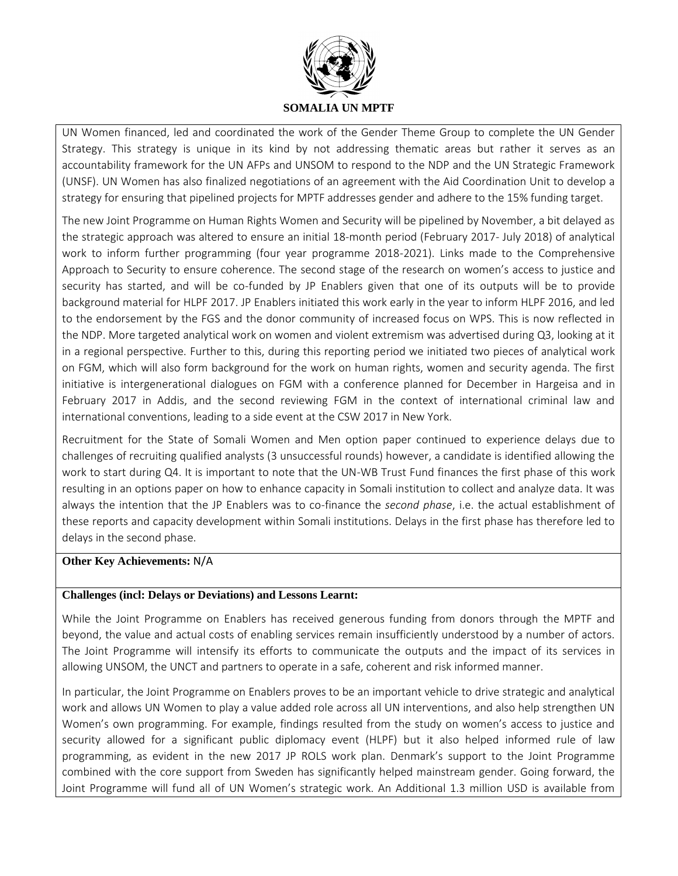

UN Women financed, led and coordinated the work of the Gender Theme Group to complete the UN Gender Strategy. This strategy is unique in its kind by not addressing thematic areas but rather it serves as an accountability framework for the UN AFPs and UNSOM to respond to the NDP and the UN Strategic Framework (UNSF). UN Women has also finalized negotiations of an agreement with the Aid Coordination Unit to develop a strategy for ensuring that pipelined projects for MPTF addresses gender and adhere to the 15% funding target.

The new Joint Programme on Human Rights Women and Security will be pipelined by November, a bit delayed as the strategic approach was altered to ensure an initial 18-month period (February 2017- July 2018) of analytical work to inform further programming (four year programme 2018-2021). Links made to the Comprehensive Approach to Security to ensure coherence. The second stage of the research on women's access to justice and security has started, and will be co-funded by JP Enablers given that one of its outputs will be to provide background material for HLPF 2017. JP Enablers initiated this work early in the year to inform HLPF 2016, and led to the endorsement by the FGS and the donor community of increased focus on WPS. This is now reflected in the NDP. More targeted analytical work on women and violent extremism was advertised during Q3, looking at it in a regional perspective. Further to this, during this reporting period we initiated two pieces of analytical work on FGM, which will also form background for the work on human rights, women and security agenda. The first initiative is intergenerational dialogues on FGM with a conference planned for December in Hargeisa and in February 2017 in Addis, and the second reviewing FGM in the context of international criminal law and international conventions, leading to a side event at the CSW 2017 in New York.

Recruitment for the State of Somali Women and Men option paper continued to experience delays due to challenges of recruiting qualified analysts (3 unsuccessful rounds) however, a candidate is identified allowing the work to start during Q4. It is important to note that the UN-WB Trust Fund finances the first phase of this work resulting in an options paper on how to enhance capacity in Somali institution to collect and analyze data. It was always the intention that the JP Enablers was to co-finance the *second phase*, i.e. the actual establishment of these reports and capacity development within Somali institutions. Delays in the first phase has therefore led to delays in the second phase.

#### **Other Key Achievements:** N/A

#### **Challenges (incl: Delays or Deviations) and Lessons Learnt:**

While the Joint Programme on Enablers has received generous funding from donors through the MPTF and beyond, the value and actual costs of enabling services remain insufficiently understood by a number of actors. The Joint Programme will intensify its efforts to communicate the outputs and the impact of its services in allowing UNSOM, the UNCT and partners to operate in a safe, coherent and risk informed manner.

In particular, the Joint Programme on Enablers proves to be an important vehicle to drive strategic and analytical work and allows UN Women to play a value added role across all UN interventions, and also help strengthen UN Women's own programming. For example, findings resulted from the study on women's access to justice and security allowed for a significant public diplomacy event (HLPF) but it also helped informed rule of law programming, as evident in the new 2017 JP ROLS work plan. Denmark's support to the Joint Programme combined with the core support from Sweden has significantly helped mainstream gender. Going forward, the Joint Programme will fund all of UN Women's strategic work. An Additional 1.3 million USD is available from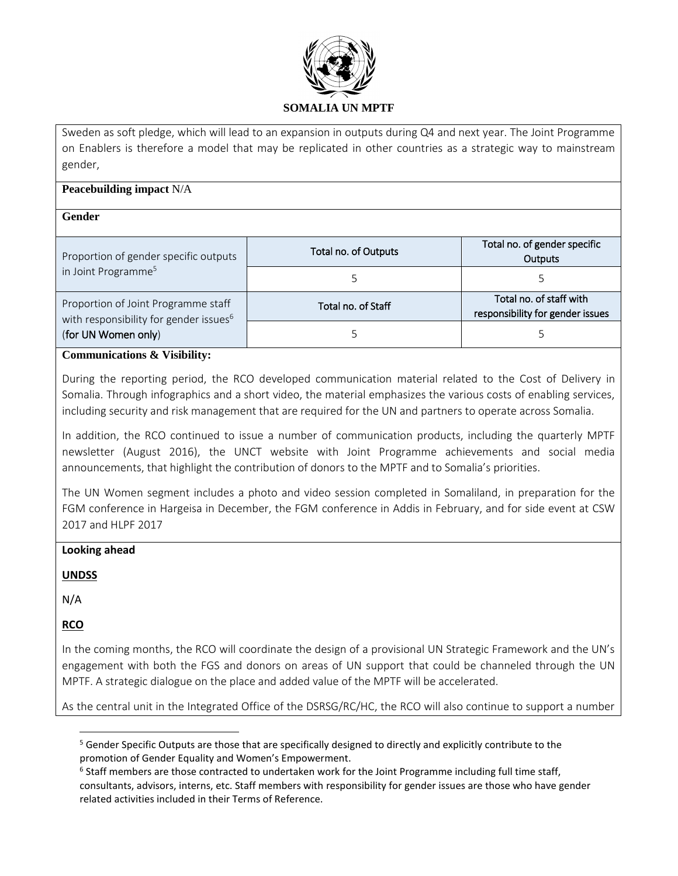

Sweden as soft pledge, which will lead to an expansion in outputs during Q4 and next year. The Joint Programme on Enablers is therefore a model that may be replicated in other countries as a strategic way to mainstream gender,

### **Peacebuilding impact** N/A

#### **Gender**

| Proportion of gender specific outputs                                                     | Total no. of Outputs | Total no. of gender specific<br>Outputs                     |  |  |
|-------------------------------------------------------------------------------------------|----------------------|-------------------------------------------------------------|--|--|
| in Joint Programme <sup>5</sup>                                                           |                      |                                                             |  |  |
| Proportion of Joint Programme staff<br>with responsibility for gender issues <sup>6</sup> | Total no. of Staff   | Total no. of staff with<br>responsibility for gender issues |  |  |
| (for UN Women only)                                                                       |                      |                                                             |  |  |

#### **Communications & Visibility:**

During the reporting period, the RCO developed communication material related to the Cost of Delivery in Somalia. Through infographics and a short video, the material emphasizes the various costs of enabling services, including security and risk management that are required for the UN and partners to operate across Somalia.

In addition, the RCO continued to issue a number of communication products, including the quarterly MPTF newsletter (August 2016), the UNCT website with Joint Programme achievements and social media announcements, that highlight the contribution of donors to the MPTF and to Somalia's priorities.

The UN Women segment includes a photo and video session completed in Somaliland, in preparation for the FGM conference in Hargeisa in December, the FGM conference in Addis in February, and for side event at CSW 2017 and HLPF 2017

#### **Looking ahead**

#### **UNDSS**

N/A

**RCO**

 $\overline{\phantom{a}}$ 

In the coming months, the RCO will coordinate the design of a provisional UN Strategic Framework and the UN's engagement with both the FGS and donors on areas of UN support that could be channeled through the UN MPTF. A strategic dialogue on the place and added value of the MPTF will be accelerated.

As the central unit in the Integrated Office of the DSRSG/RC/HC, the RCO will also continue to support a number

<sup>&</sup>lt;sup>5</sup> Gender Specific Outputs are those that are specifically designed to directly and explicitly contribute to the promotion of Gender Equality and Women's Empowerment.

<sup>&</sup>lt;sup>6</sup> Staff members are those contracted to undertaken work for the Joint Programme including full time staff, consultants, advisors, interns, etc. Staff members with responsibility for gender issues are those who have gender related activities included in their Terms of Reference.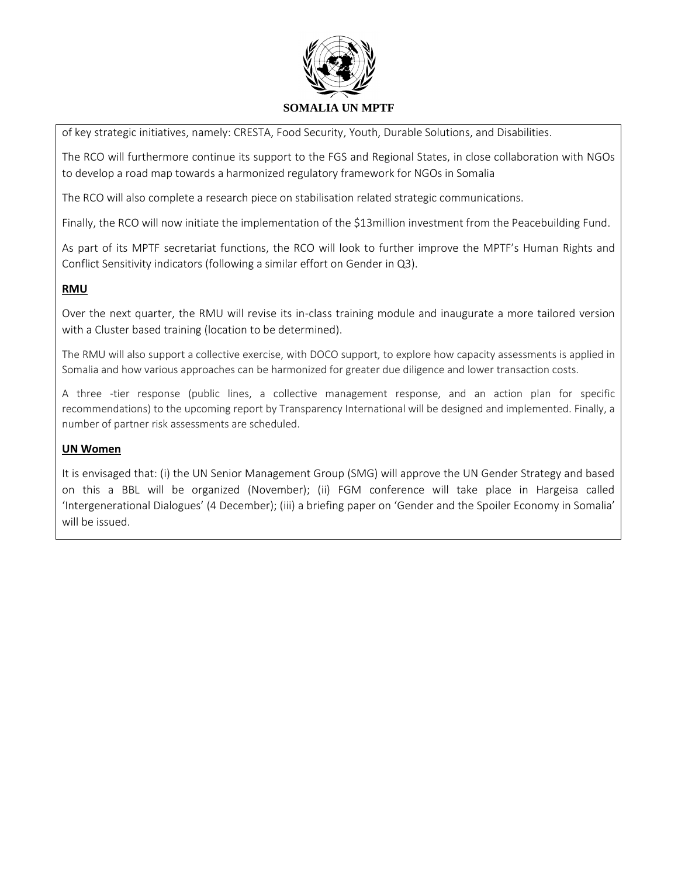

of key strategic initiatives, namely: CRESTA, Food Security, Youth, Durable Solutions, and Disabilities.

The RCO will furthermore continue its support to the FGS and Regional States, in close collaboration with NGOs to develop a road map towards a harmonized regulatory framework for NGOs in Somalia

The RCO will also complete a research piece on stabilisation related strategic communications.

Finally, the RCO will now initiate the implementation of the \$13million investment from the Peacebuilding Fund.

As part of its MPTF secretariat functions, the RCO will look to further improve the MPTF's Human Rights and Conflict Sensitivity indicators (following a similar effort on Gender in Q3).

### **RMU**

Over the next quarter, the RMU will revise its in-class training module and inaugurate a more tailored version with a Cluster based training (location to be determined).

The RMU will also support a collective exercise, with DOCO support, to explore how capacity assessments is applied in Somalia and how various approaches can be harmonized for greater due diligence and lower transaction costs.

A three -tier response (public lines, a collective management response, and an action plan for specific recommendations) to the upcoming report by Transparency International will be designed and implemented. Finally, a number of partner risk assessments are scheduled.

#### **UN Women**

It is envisaged that: (i) the UN Senior Management Group (SMG) will approve the UN Gender Strategy and based on this a BBL will be organized (November); (ii) FGM conference will take place in Hargeisa called 'Intergenerational Dialogues' (4 December); (iii) a briefing paper on 'Gender and the Spoiler Economy in Somalia' will be issued.